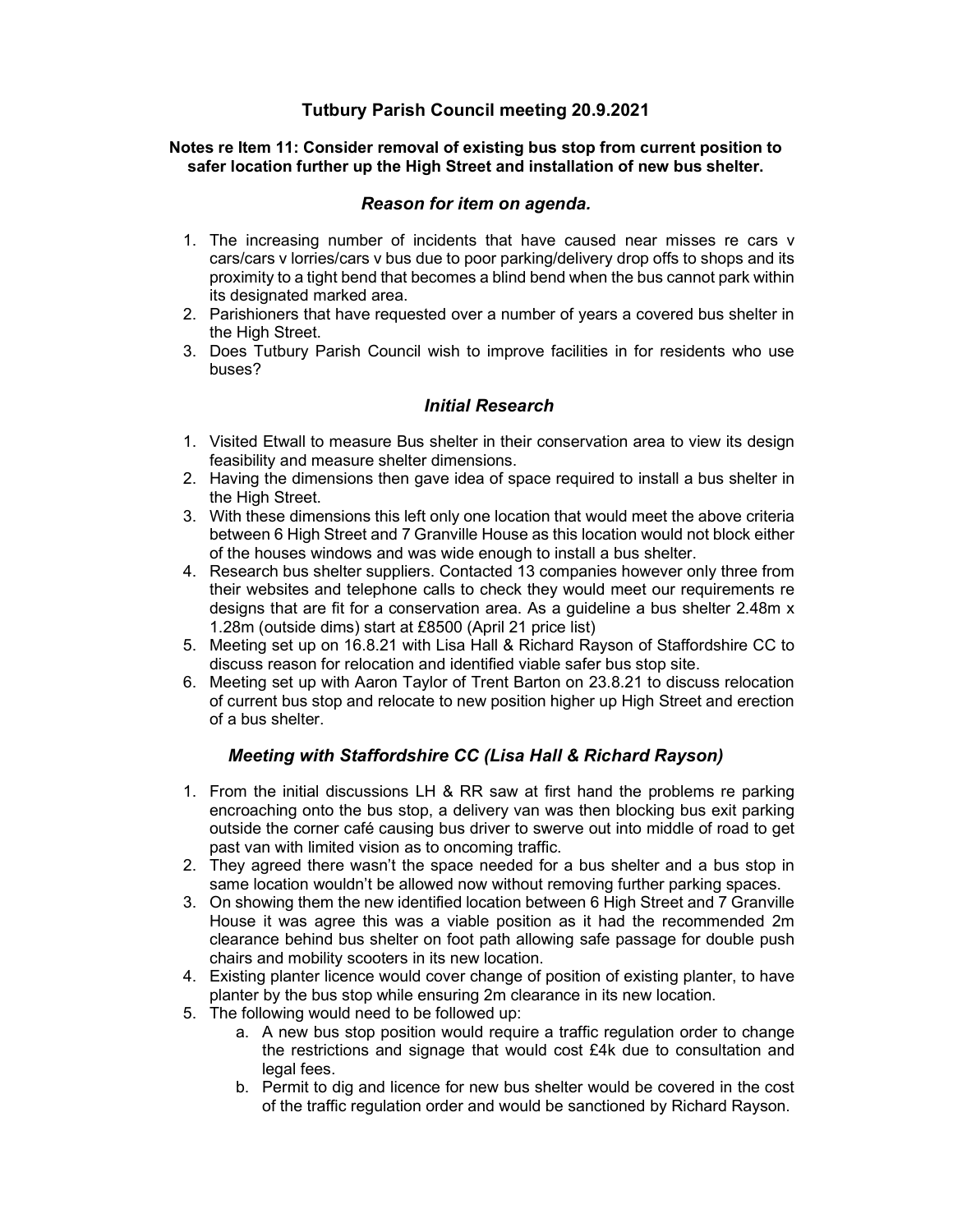## Tutbury Parish Council meeting 20.9.2021

#### Notes re Item 11: Consider removal of existing bus stop from current position to safer location further up the High Street and installation of new bus shelter.

### Reason for item on agenda.

- 1. The increasing number of incidents that have caused near misses re cars v cars/cars v lorries/cars v bus due to poor parking/delivery drop offs to shops and its proximity to a tight bend that becomes a blind bend when the bus cannot park within its designated marked area.
- 2. Parishioners that have requested over a number of years a covered bus shelter in the High Street.
- 3. Does Tutbury Parish Council wish to improve facilities in for residents who use buses?

## Initial Research

- 1. Visited Etwall to measure Bus shelter in their conservation area to view its design feasibility and measure shelter dimensions.
- 2. Having the dimensions then gave idea of space required to install a bus shelter in the High Street.
- 3. With these dimensions this left only one location that would meet the above criteria between 6 High Street and 7 Granville House as this location would not block either of the houses windows and was wide enough to install a bus shelter.
- 4. Research bus shelter suppliers. Contacted 13 companies however only three from their websites and telephone calls to check they would meet our requirements re designs that are fit for a conservation area. As a guideline a bus shelter 2.48m x 1.28m (outside dims) start at £8500 (April 21 price list)
- 5. Meeting set up on 16.8.21 with Lisa Hall & Richard Rayson of Staffordshire CC to discuss reason for relocation and identified viable safer bus stop site.
- 6. Meeting set up with Aaron Taylor of Trent Barton on 23.8.21 to discuss relocation of current bus stop and relocate to new position higher up High Street and erection of a bus shelter.

## Meeting with Staffordshire CC (Lisa Hall & Richard Rayson)

- 1. From the initial discussions LH & RR saw at first hand the problems re parking encroaching onto the bus stop, a delivery van was then blocking bus exit parking outside the corner café causing bus driver to swerve out into middle of road to get past van with limited vision as to oncoming traffic.
- 2. They agreed there wasn't the space needed for a bus shelter and a bus stop in same location wouldn't be allowed now without removing further parking spaces.
- 3. On showing them the new identified location between 6 High Street and 7 Granville House it was agree this was a viable position as it had the recommended 2m clearance behind bus shelter on foot path allowing safe passage for double push chairs and mobility scooters in its new location.
- 4. Existing planter licence would cover change of position of existing planter, to have planter by the bus stop while ensuring 2m clearance in its new location.
- 5. The following would need to be followed up:
	- a. A new bus stop position would require a traffic regulation order to change the restrictions and signage that would cost £4k due to consultation and legal fees.
	- b. Permit to dig and licence for new bus shelter would be covered in the cost of the traffic regulation order and would be sanctioned by Richard Rayson.